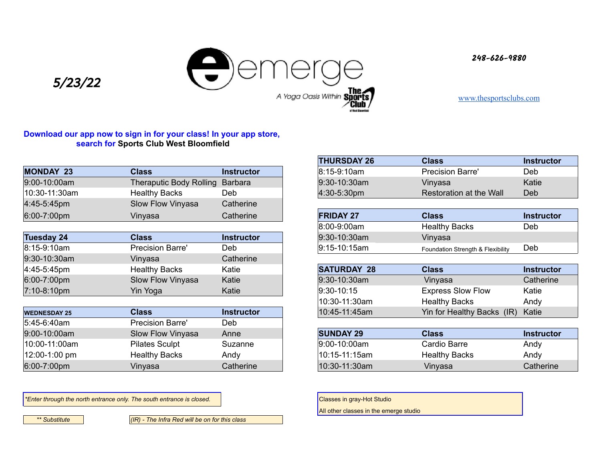**248-626-9880**



5/23/22

[www.thesportsclubs.com](http://www.thesportsclubs.com)

# **Download our app now to sign in for your class! In your app store, search for Sports Club West Bloomfield**

| <b>MONDAY 23</b>        | <b>Class</b>                    | <b>Instructor</b> |
|-------------------------|---------------------------------|-------------------|
| 9:00-10:00am            | Theraputic Body Rolling Barbara |                   |
| 10:30-11:30am           | <b>Healthy Backs</b>            | Deb               |
| 4:45-5:45pm             | Slow Flow Vinyasa               | Catherine         |
| $6:00 - 7:00 \text{pm}$ | Vinyasa                         | Catherine         |

| Tuesday 24    | <b>Class</b>            | Instructor |
|---------------|-------------------------|------------|
| 8:15-9:10am   | <b>Precision Barre'</b> | Deb        |
| 9:30-10:30am  | Vinyasa                 | Catherine  |
| $4:45-5:45pm$ | <b>Healthy Backs</b>    | Katie      |
| 6:00-7:00pm   | Slow Flow Vinyasa       | Katie      |
| 7:10-8:10pm   | Yin Yoga                | Katie      |

| <b>WEDNESDAY 25</b>     | Class                   | <b>Instructor</b> | 10:45-11:45am    | Yin for Healthy Backs (IR) | Katie      |
|-------------------------|-------------------------|-------------------|------------------|----------------------------|------------|
| $ 5:45-6:40$ am         | <b>Precision Barre'</b> | Deb               |                  |                            |            |
| 9:00-10:00am            | Slow Flow Vinyasa       | Anne              | <b>SUNDAY 29</b> | <b>Class</b>               | Instructor |
| $ 10:00-11:00am $       | <b>Pilates Sculpt</b>   | Suzanne           | $ 9:00-10:00$ am | Cardio Barre               | Andy       |
| $ 12:00-1:00$ pm        | <b>Healthy Backs</b>    | Andy              | 10:15-11:15am    | <b>Healthy Backs</b>       | Andy       |
| $6:00 - 7:00 \text{pm}$ | Vinyasa                 | Catherine         | 10:30-11:30am    | Vinyasa                    | Catherine  |

\**Enter through the north entrance only. The south entrance is closed.* Conserved and the south entrance is closed.

*\*\* Substitute (IR) - The Infra Red will be on for this class* 

| <b>THURSDAY 26</b> | <b>Class</b>            | Instructor |
|--------------------|-------------------------|------------|
| 8:15-9:10am        | <b>Precision Barre'</b> | Deb        |
| 9:30-10:30am       | Vinyasa                 | Katie      |
| 4:30-5:30pm        | Restoration at the Wall | Deb        |

| <b>FRIDAY 27</b> | <b>Class</b>                      | Instructor |
|------------------|-----------------------------------|------------|
| 8:00-9:00am      | <b>Healthy Backs</b>              | Deb        |
| 9:30-10:30am     | Vinyasa                           |            |
| 9:15-10:15am     | Foundation Strength & Flexibility | Deb        |

| <b>SATURDAY 28</b> | <b>Class</b>                     | <b>Instructor</b> |
|--------------------|----------------------------------|-------------------|
| 9:30-10:30am       | Vinyasa                          | Catherine         |
| $ 9:30-10:15$      | <b>Express Slow Flow</b>         | Katie             |
| 10:30-11:30am      | <b>Healthy Backs</b>             | Andy              |
| 10:45-11:45am      | Yin for Healthy Backs (IR) Katie |                   |

| <b>SUNDAY 29</b> | <b>Class</b>         | <b>Instructor</b> |
|------------------|----------------------|-------------------|
| $ 9:00-10:00$ am | Cardio Barre         | Andy              |
| 10:15-11:15am    | <b>Healthy Backs</b> | Andy              |
| $10:30-11:30am$  | Vinyasa              | Catherine         |

All other classes in the emerge studio